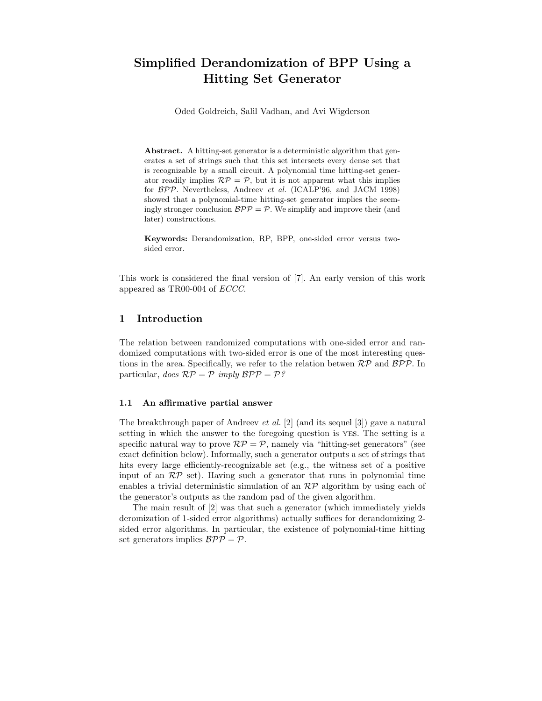# Simplified Derandomization of BPP Using a Hitting Set Generator

Oded Goldreich, Salil Vadhan, and Avi Wigderson

Abstract. A hitting-set generator is a deterministic algorithm that generates a set of strings such that this set intersects every dense set that is recognizable by a small circuit. A polynomial time hitting-set generator readily implies  $\mathcal{RP} = \mathcal{P}$ , but it is not apparent what this implies for BPP. Nevertheless, Andreev et al. (ICALP'96, and JACM 1998) showed that a polynomial-time hitting-set generator implies the seemingly stronger conclusion  $BPP = P$ . We simplify and improve their (and later) constructions.

Keywords: Derandomization, RP, BPP, one-sided error versus twosided error.

This work is considered the final version of [7]. An early version of this work appeared as TR00-004 of ECCC.

## 1 Introduction

The relation between randomized computations with one-sided error and randomized computations with two-sided error is one of the most interesting questions in the area. Specifically, we refer to the relation betwen  $\mathcal{RP}$  and  $\mathcal{BPP}$ . In particular, does  $\mathcal{RP} = \mathcal{P}$  imply  $\mathcal{BPP} = \mathcal{P}$ ?

## 1.1 An affirmative partial answer

The breakthrough paper of Andreev et al. [2] (and its sequel [3]) gave a natural setting in which the answer to the foregoing question is yes. The setting is a specific natural way to prove  $\mathcal{RP} = \mathcal{P}$ , namely via "hitting-set generators" (see exact definition below). Informally, such a generator outputs a set of strings that hits every large efficiently-recognizable set (e.g., the witness set of a positive input of an  $\mathcal{RP}$  set). Having such a generator that runs in polynomial time enables a trivial deterministic simulation of an  $\mathcal{RP}$  algorithm by using each of the generator's outputs as the random pad of the given algorithm.

The main result of [2] was that such a generator (which immediately yields deromization of 1-sided error algorithms) actually suffices for derandomizing 2 sided error algorithms. In particular, the existence of polynomial-time hitting set generators implies  $BPP = P$ .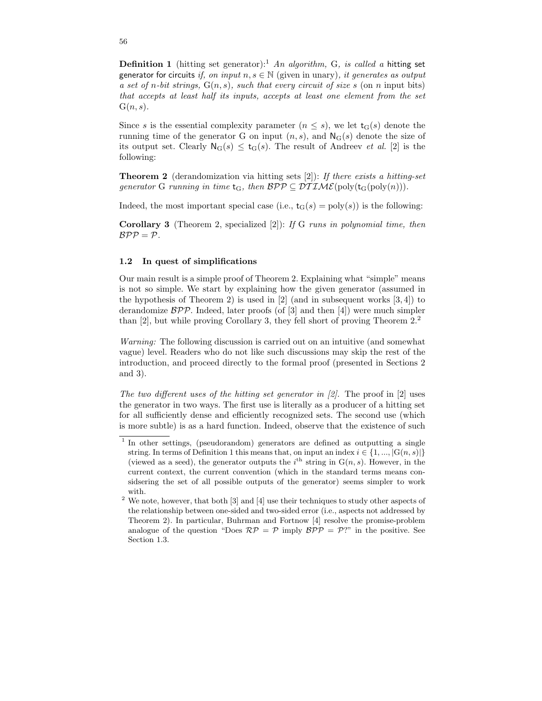**Definition 1** (hitting set generator):<sup>1</sup> An algorithm, G, is called a hitting set generator for circuits if, on input  $n, s \in \mathbb{N}$  (given in unary), it generates as output a set of n-bit strings,  $G(n, s)$ , such that every circuit of size s (on n input bits) that accepts at least half its inputs, accepts at least one element from the set  $G(n, s)$ .

Since s is the essential complexity parameter  $(n \leq s)$ , we let  $t_G(s)$  denote the running time of the generator G on input  $(n, s)$ , and  $\mathsf{N}_{\mathsf{G}}(s)$  denote the size of its output set. Clearly  $N_G(s) \leq t_G(s)$ . The result of Andreev *et al.* [2] is the following:

**Theorem 2** (derandomization via hitting sets [2]): If there exists a hitting-set generator G running in time  $t_G$ , then  $BPP \subseteq DTIME(poly(t_G(poly(n))).$ 

Indeed, the most important special case (i.e.,  $t_G(s) = poly(s)$ ) is the following:

**Corollary 3** (Theorem 2, specialized [2]): If G runs in polynomial time, then  $BPP = P$ .

#### 1.2 In quest of simplifications

Our main result is a simple proof of Theorem 2. Explaining what "simple" means is not so simple. We start by explaining how the given generator (assumed in the hypothesis of Theorem 2) is used in  $[2]$  (and in subsequent works  $[3, 4]$ ) to derandomize  $\beta \mathcal{P} \mathcal{P}$ . Indeed, later proofs (of [3] and then [4]) were much simpler than [2], but while proving Corollary 3, they fell short of proving Theorem 2.<sup>2</sup>

Warning: The following discussion is carried out on an intuitive (and somewhat vague) level. Readers who do not like such discussions may skip the rest of the introduction, and proceed directly to the formal proof (presented in Sections 2 and 3).

The two different uses of the hitting set generator in  $[2]$ . The proof in  $[2]$  uses the generator in two ways. The first use is literally as a producer of a hitting set for all sufficiently dense and efficiently recognized sets. The second use (which is more subtle) is as a hard function. Indeed, observe that the existence of such

<sup>&</sup>lt;sup>1</sup> In other settings, (pseudorandom) generators are defined as outputting a single string. In terms of Definition 1 this means that, on input an index  $i \in \{1, ..., |G(n, s)|\}$ (viewed as a seed), the generator outputs the  $i^{\text{th}}$  string in  $G(n, s)$ . However, in the current context, the current convention (which in the standard terms means considsering the set of all possible outputs of the generator) seems simpler to work with.

 $2$  We note, however, that both  $[3]$  and  $[4]$  use their techniques to study other aspects of the relationship between one-sided and two-sided error (i.e., aspects not addressed by Theorem 2). In particular, Buhrman and Fortnow [4] resolve the promise-problem analogue of the question "Does  $\mathcal{RP} = \mathcal{P}$  imply  $\mathcal{BPP} = \mathcal{P}$ ?" in the positive. See Section 1.3.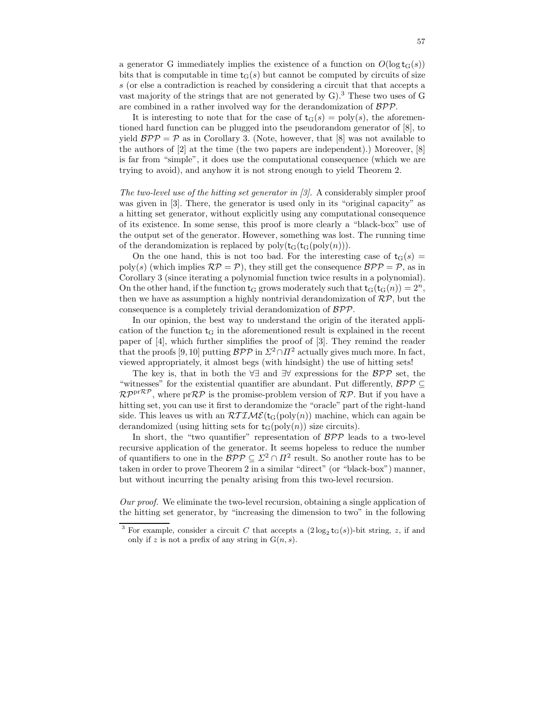a generator G immediately implies the existence of a function on  $O(\log t_{G}(s))$ bits that is computable in time  $t_G(s)$  but cannot be computed by circuits of size s (or else a contradiction is reached by considering a circuit that that accepts a vast majority of the strings that are not generated by  $G$ ).<sup>3</sup> These two uses of G are combined in a rather involved way for the derandomization of BPP.

It is interesting to note that for the case of  $t_G(s) = poly(s)$ , the aforementioned hard function can be plugged into the pseudorandom generator of [8], to yield  $BPP = P$  as in Corollary 3. (Note, however, that [8] was not available to the authors of [2] at the time (the two papers are independent).) Moreover, [8] is far from "simple", it does use the computational consequence (which we are trying to avoid), and anyhow it is not strong enough to yield Theorem 2.

The two-level use of the hitting set generator in [3]. A considerably simpler proof was given in [3]. There, the generator is used only in its "original capacity" as a hitting set generator, without explicitly using any computational consequence of its existence. In some sense, this proof is more clearly a "black-box" use of the output set of the generator. However, something was lost. The running time of the derandomization is replaced by  $poly(t_G(t_G(poly(n))).$ 

On the one hand, this is not too bad. For the interesting case of  $t_G(s)$  = poly(s) (which implies  $\mathcal{RP} = \mathcal{P}$ ), they still get the consequence  $\mathcal{BPP} = \mathcal{P}$ , as in Corollary 3 (since iterating a polynomial function twice results in a polynomial). On the other hand, if the function  $t_G$  grows moderately such that  $t_G(t_G(n)) = 2^n$ , then we have as assumption a highly nontrivial derandomization of  $\mathcal{RP}$ , but the consequence is a completely trivial derandomization of BPP.

In our opinion, the best way to understand the origin of the iterated application of the function  $t<sub>G</sub>$  in the aforementioned result is explained in the recent paper of [4], which further simplifies the proof of [3]. They remind the reader that the proofs [9, 10] putting  $B\mathcal{PP}$  in  $\Sigma^2 \cap \Pi^2$  actually gives much more. In fact, viewed appropriately, it almost begs (with hindsight) the use of hitting sets!

The key is, that in both the  $\forall \exists$  and  $\exists \forall$  expressions for the  $\beta \mathcal{P} \mathcal{P}$  set, the "witnesses" for the existential quantifier are abundant. Put differently,  $\mathcal{BPP} \subseteq$  $\mathcal{RP}^{\text{pr}\mathcal{RP}}$ , where  $\text{pr}\mathcal{RP}$  is the promise-problem version of  $\mathcal{RP}$ . But if you have a hitting set, you can use it first to derandomize the "oracle" part of the right-hand side. This leaves us with an  $\mathcal{RTIME}(\mathsf{t}_{\mathsf{G}}(\text{poly}(n))$  machine, which can again be derandomized (using hitting sets for  $t_G($ poly $(n)$ ) size circuits).

In short, the "two quantifier" representation of  $BPP$  leads to a two-level recursive application of the generator. It seems hopeless to reduce the number of quantifiers to one in the  $\mathcal{BPP} \subseteq \mathbb{Z}^2 \cap \mathbb{Z}^2$  result. So another route has to be taken in order to prove Theorem 2 in a similar "direct" (or "black-box") manner, but without incurring the penalty arising from this two-level recursion.

Our proof. We eliminate the two-level recursion, obtaining a single application of the hitting set generator, by "increasing the dimension to two" in the following

<sup>&</sup>lt;sup>3</sup> For example, consider a circuit C that accepts a  $(2 \log_2 t_G(s))$ -bit string, z, if and only if z is not a prefix of any string in  $G(n, s)$ .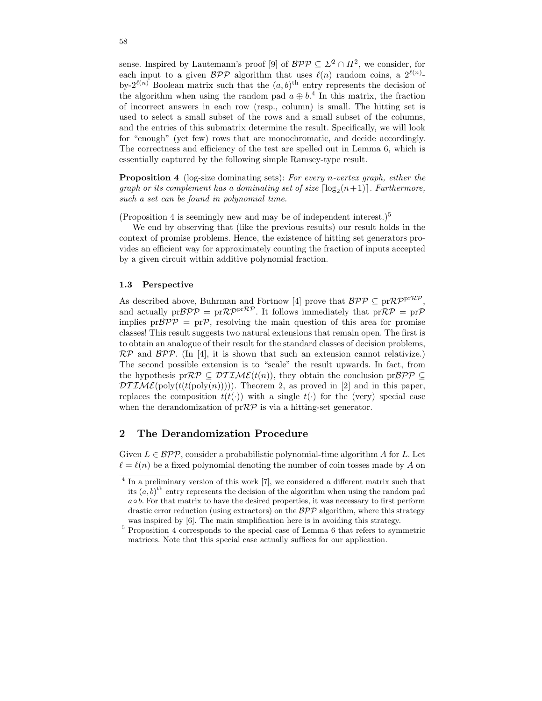sense. Inspired by Lautemann's proof [9] of  $\mathcal{BPP} \subseteq \mathbb{Z}^2 \cap \mathbb{Z}^2$ , we consider, for each input to a given  $BPP$  algorithm that uses  $\ell(n)$  random coins, a  $2^{\ell(n)}$ . by- $2^{\ell(n)}$  Boolean matrix such that the  $(a, b)$ <sup>th</sup> entry represents the decision of the algorithm when using the random pad  $a \oplus b$ <sup>4</sup>. In this matrix, the fraction of incorrect answers in each row (resp., column) is small. The hitting set is used to select a small subset of the rows and a small subset of the columns, and the entries of this submatrix determine the result. Specifically, we will look for "enough" (yet few) rows that are monochromatic, and decide accordingly. The correctness and efficiency of the test are spelled out in Lemma 6, which is essentially captured by the following simple Ramsey-type result.

Proposition 4 (log-size dominating sets): For every n-vertex graph, either the graph or its complement has a dominating set of size  $\lceil \log_2(n+1) \rceil$ . Furthermore, such a set can be found in polynomial time.

(Proposition 4 is seemingly new and may be of independent interest.)<sup>5</sup>

We end by observing that (like the previous results) our result holds in the context of promise problems. Hence, the existence of hitting set generators provides an efficient way for approximately counting the fraction of inputs accepted by a given circuit within additive polynomial fraction.

#### 1.3 Perspective

As described above, Buhrman and Fortnow [4] prove that  $\mathcal{BPP} \subseteq pr\mathcal{RP}^{pr\mathcal{RP}},$ and actually  $pr\mathcal{BPP} = pr\mathcal{RP}^{pr\mathcal{RP}}$ . It follows immediately that  $pr\mathcal{RP} = pr\mathcal{P}$ implies  $pr\mathcal{BPP} = pr\mathcal{P}$ , resolving the main question of this area for promise classes! This result suggests two natural extensions that remain open. The first is to obtain an analogue of their result for the standard classes of decision problems,  $\mathcal{RP}$  and  $\mathcal{BPP}$ . (In [4], it is shown that such an extension cannot relativize.) The second possible extension is to "scale" the result upwards. In fact, from the hypothesis pr $\mathcal{RP} \subseteq \mathcal{DTIME}(t(n))$ , they obtain the conclusion pr $\mathcal{BPP} \subseteq$  $DTIME(poly(t(t(poly(n))))$ . Theorem 2, as proved in [2] and in this paper, replaces the composition  $t(t(\cdot))$  with a single  $t(\cdot)$  for the (very) special case when the derandomization of  $prRP$  is via a hitting-set generator.

# 2 The Derandomization Procedure

Given  $L \in \mathcal{BPP}$ , consider a probabilistic polynomial-time algorithm A for L. Let  $\ell = \ell(n)$  be a fixed polynomial denoting the number of coin tosses made by A on

<sup>&</sup>lt;sup>4</sup> In a preliminary version of this work [7], we considered a different matrix such that its  $(a, b)$ <sup>th</sup> entry represents the decision of the algorithm when using the random pad  $a \circ b$ . For that matrix to have the desired properties, it was necessary to first perform drastic error reduction (using extractors) on the  $BPP$  algorithm, where this strategy was inspired by [6]. The main simplification here is in avoiding this strategy.

 $^5$  Proposition 4 corresponds to the special case of Lemma 6 that refers to symmetric matrices. Note that this special case actually suffices for our application.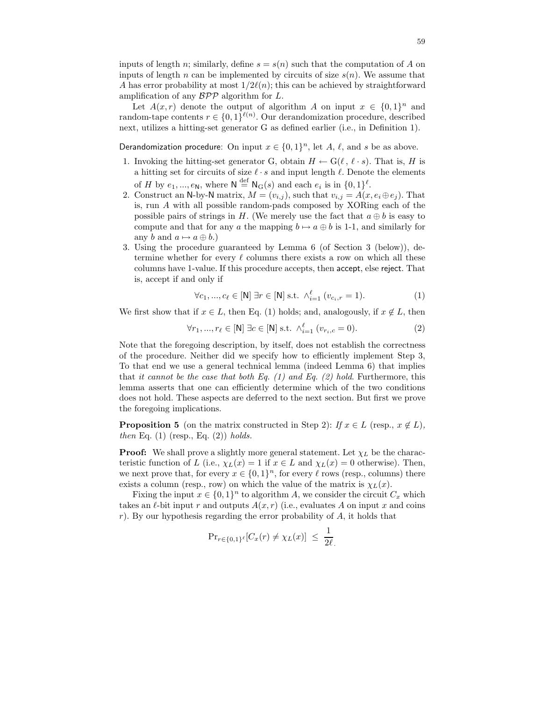inputs of length n; similarly, define  $s = s(n)$  such that the computation of A on inputs of length n can be implemented by circuits of size  $s(n)$ . We assume that A has error probability at most  $1/2\ell(n)$ ; this can be achieved by straightforward amplification of any  $\mathcal{BPP}$  algorithm for  $L$ .

Let  $A(x,r)$  denote the output of algorithm A on input  $x \in \{0,1\}^n$  and random-tape contents  $r \in \{0,1\}^{\ell(n)}$ . Our derandomization procedure, described next, utilizes a hitting-set generator G as defined earlier (i.e., in Definition 1).

Derandomization procedure: On input  $x \in \{0,1\}^n$ , let A,  $\ell$ , and s be as above.

- 1. Invoking the hitting-set generator G, obtain  $H \leftarrow G(\ell, \ell \cdot s)$ . That is, H is a hitting set for circuits of size  $\ell \cdot s$  and input length  $\ell$ . Denote the elements of H by  $e_1, ..., e_N$ , where  $N \stackrel{\text{def}}{=} N_G(s)$  and each  $e_i$  is in  $\{0,1\}^{\ell}$ .
- 2. Construct an N-by-N matrix,  $M = (v_{i,j})$ , such that  $v_{i,j} = A(x, e_i \oplus e_j)$ . That is, run A with all possible random-pads composed by XORing each of the possible pairs of strings in H. (We merely use the fact that  $a \oplus b$  is easy to compute and that for any a the mapping  $b \mapsto a \oplus b$  is 1-1, and similarly for any b and  $a \mapsto a \oplus b$ .)
- 3. Using the procedure guaranteed by Lemma 6 (of Section 3 (below)), determine whether for every  $\ell$  columns there exists a row on which all these columns have 1-value. If this procedure accepts, then accept, else reject. That is, accept if and only if

$$
\forall c_1, ..., c_\ell \in [N] \; \exists r \in [N] \; s.t. \; \wedge_{i=1}^{\ell} \; (v_{c_i, r} = 1). \tag{1}
$$

We first show that if  $x \in L$ , then Eq. (1) holds; and, analogously, if  $x \notin L$ , then

$$
\forall r_1, ..., r_\ell \in [N] \exists c \in [N] \text{ s.t. } \wedge_{i=1}^\ell (v_{r_i,c} = 0). \tag{2}
$$

Note that the foregoing description, by itself, does not establish the correctness of the procedure. Neither did we specify how to efficiently implement Step 3, To that end we use a general technical lemma (indeed Lemma 6) that implies that it cannot be the case that both Eq.  $(1)$  and Eq.  $(2)$  hold. Furthermore, this lemma asserts that one can efficiently determine which of the two conditions does not hold. These aspects are deferred to the next section. But first we prove the foregoing implications.

**Proposition 5** (on the matrix constructed in Step 2): If  $x \in L$  (resp.,  $x \notin L$ ), then Eq.  $(1)$  (resp., Eq.  $(2)$ ) holds.

**Proof:** We shall prove a slightly more general statement. Let  $\chi_L$  be the characteristic function of L (i.e.,  $\chi_L(x) = 1$  if  $x \in L$  and  $\chi_L(x) = 0$  otherwise). Then, we next prove that, for every  $x \in \{0,1\}^n$ , for every  $\ell$  rows (resp., columns) there exists a column (resp., row) on which the value of the matrix is  $\chi_L(x)$ .

Fixing the input  $x \in \{0,1\}^n$  to algorithm A, we consider the circuit  $C_x$  which takes an  $\ell$ -bit input r and outputs  $A(x, r)$  (i.e., evaluates A on input x and coins r). By our hypothesis regarding the error probability of  $A$ , it holds that

$$
\mathrm{Pr}_{r \in \{0,1\}^\ell}[C_x(r) \neq \chi_L(x)] \ \leq \ \frac{1}{2\ell}.
$$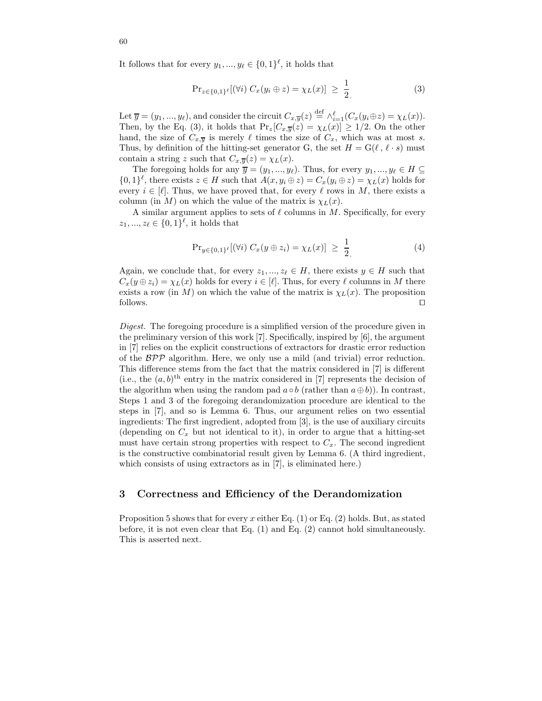It follows that for every  $y_1, ..., y_\ell \in \{0,1\}^\ell$ , it holds that

$$
\Pr_{z \in \{0,1\}^\ell} [(\forall i) \ C_x(y_i \oplus z) = \chi_L(x)] \ \geq \ \frac{1}{2} \tag{3}
$$

Let  $\overline{y} = (y_1, ..., y_\ell)$ , and consider the circuit  $C_{x, \overline{y}}(z) \stackrel{\text{def}}{=} \wedge_{i=1}^{\ell} (C_x(y_i \oplus z) = \chi_L(x)).$ Then, by the Eq. (3), it holds that  $Pr_z[C_{x,\overline{y}}(z) = \chi_L(x)] \ge 1/2$ . On the other hand, the size of  $C_{x,\overline{y}}$  is merely  $\ell$  times the size of  $C_x$ , which was at most s. Thus, by definition of the hitting-set generator G, the set  $H = G(\ell, \ell \cdot s)$  must contain a string z such that  $C_{x,\overline{y}}(z) = \chi_L(x)$ .

The foregoing holds for any  $\overline{y} = (y_1, ..., y_\ell)$ . Thus, for every  $y_1, ..., y_\ell \in H \subseteq$  $\{0,1\}^{\ell}$ , there exists  $z \in H$  such that  $A(x, y_i \oplus z) = C_x(y_i \oplus z) = \chi_L(x)$  holds for every  $i \in [\ell]$ . Thus, we have proved that, for every  $\ell$  rows in M, there exists a column (in M) on which the value of the matrix is  $\chi_L(x)$ .

A similar argument applies to sets of  $\ell$  columns in M. Specifically, for every  $z_1, ..., z_\ell \in \{0,1\}^\ell$ , it holds that

$$
\Pr_{y \in \{0,1\}^\ell} [(\forall i) \ C_x(y \oplus z_i) = \chi_L(x)] \ \geq \ \frac{1}{2} \tag{4}
$$

Again, we conclude that, for every  $z_1, ..., z_\ell \in H$ , there exists  $y \in H$  such that  $C_x(y \oplus z_i) = \chi_L(x)$  holds for every  $i \in [\ell]$ . Thus, for every  $\ell$  columns in M there exists a row (in M) on which the value of the matrix is  $\chi_L(x)$ . The proposition follows. ⊓⊔

Digest. The foregoing procedure is a simplified version of the procedure given in the preliminary version of this work [7]. Specifically, inspired by [6], the argument in [7] relies on the explicit constructions of extractors for drastic error reduction of the  $BPP$  algorithm. Here, we only use a mild (and trivial) error reduction. This difference stems from the fact that the matrix considered in [7] is different (i.e., the  $(a, b)$ <sup>th</sup> entry in the matrix considered in [7] represents the decision of the algorithm when using the random pad  $a \circ b$  (rather than  $a \oplus b$ )). In contrast, Steps 1 and 3 of the foregoing derandomization procedure are identical to the steps in [7], and so is Lemma 6. Thus, our argument relies on two essential ingredients: The first ingredient, adopted from [3], is the use of auxiliary circuits (depending on  $C_x$  but not identical to it), in order to argue that a hitting-set must have certain strong properties with respect to  $C_x$ . The second ingredient is the constructive combinatorial result given by Lemma 6. (A third ingredient, which consists of using extractors as in [7], is eliminated here.)

### 3 Correctness and Efficiency of the Derandomization

Proposition 5 shows that for every x either Eq.  $(1)$  or Eq.  $(2)$  holds. But, as stated before, it is not even clear that Eq. (1) and Eq. (2) cannot hold simultaneously. This is asserted next.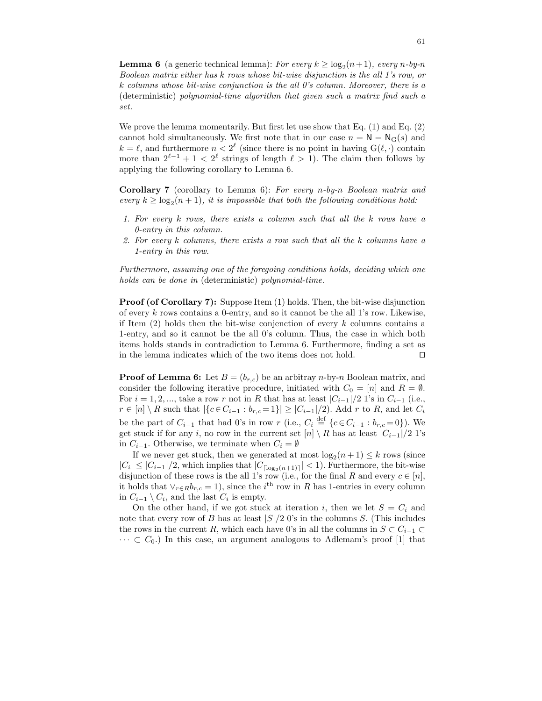**Lemma 6** (a generic technical lemma): For every  $k \ge \log_2(n+1)$ , every n-by-n Boolean matrix either has k rows whose bit-wise disjunction is the all 1's row, or k columns whose bit-wise conjunction is the all 0's column. Moreover, there is a (deterministic) polynomial-time algorithm that given such a matrix find such a set.

We prove the lemma momentarily. But first let use show that Eq. (1) and Eq. (2) cannot hold simultaneously. We first note that in our case  $n = N = N<sub>G</sub>(s)$  and  $k = \ell$ , and furthermore  $n < 2^{\ell}$  (since there is no point in having  $G(\ell, \cdot)$  contain more than  $2^{\ell-1} + 1 < 2^{\ell}$  strings of length  $\ell > 1$ ). The claim then follows by applying the following corollary to Lemma 6.

Corollary 7 (corollary to Lemma 6): For every n-by-n Boolean matrix and every  $k \geq \log_2(n+1)$ , it is impossible that both the following conditions hold:

- 1. For every k rows, there exists a column such that all the k rows have a 0-entry in this column.
- 2. For every k columns, there exists a row such that all the k columns have a 1-entry in this row.

Furthermore, assuming one of the foregoing conditions holds, deciding which one holds can be done in (deterministic) polynomial-time.

Proof (of Corollary 7): Suppose Item (1) holds. Then, the bit-wise disjunction of every  $k$  rows contains a 0-entry, and so it cannot be the all 1's row. Likewise, if Item  $(2)$  holds then the bit-wise conjenction of every k columns contains a 1-entry, and so it cannot be the all 0's column. Thus, the case in which both items holds stands in contradiction to Lemma 6. Furthermore, finding a set as in the lemma indicates which of the two items does not hold. ⊓⊔

**Proof of Lemma 6:** Let  $B = (b_{r,c})$  be an arbitray *n*-by-*n* Boolean matrix, and consider the following iterative procedure, initiated with  $C_0 = [n]$  and  $R = \emptyset$ . For  $i = 1, 2, ...,$  take a row r not in R that has at least  $|C_{i-1}|/2$  1's in  $C_{i-1}$  (i.e.,  $r \in [n] \setminus R$  such that  $|\{c \in C_{i-1} : b_{r,c} = 1\}| \geq |C_{i-1}|/2$ . Add r to R, and let  $C_i$ be the part of  $C_{i-1}$  that had 0's in row r (i.e.,  $C_i \stackrel{\text{def}}{=} \{c \in C_{i-1} : b_{r,c} = 0\}$ ). We get stuck if for any i, no row in the current set  $[n] \setminus R$  has at least  $|C_{i-1}|/2$  1's in  $C_{i-1}$ . Otherwise, we terminate when  $C_i = \emptyset$ 

If we never get stuck, then we generated at most  $\log_2(n+1) \leq k$  rows (since  $|C_i| \leq |C_{i-1}|/2$ , which implies that  $|C_{\lceil \log_2(n+1) \rceil}| < 1$ ). Furthermore, the bit-wise disjunction of these rows is the all 1's row (i.e., for the final R and every  $c \in [n]$ , it holds that  $\vee_{r \in R} b_{r,c} = 1$ , since the *i*<sup>th</sup> row in R has 1-entries in every column in  $C_{i-1} \setminus C_i$ , and the last  $C_i$  is empty.

On the other hand, if we got stuck at iteration i, then we let  $S = C_i$  and note that every row of B has at least  $|S|/2$  0's in the columns S. (This includes the rows in the current R, which each have 0's in all the columns in  $S \subset C_{i-1} \subset$  $\cdots \subset C_0$ ) In this case, an argument analogous to Adlemam's proof [1] that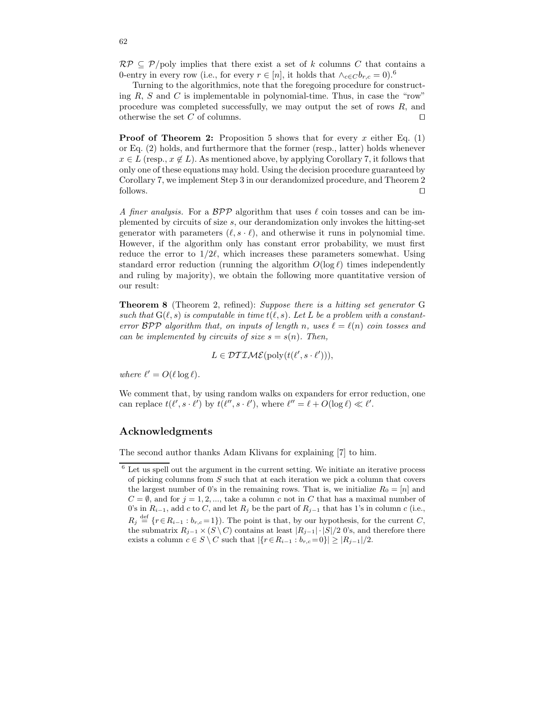$\mathcal{RP} \subseteq \mathcal{P}/\text{poly}$  implies that there exist a set of k columns C that contains a 0-entry in every row (i.e., for every  $r \in [n]$ , it holds that  $\wedge_{c \in C} b_{r,c} = 0$ ).<sup>6</sup>

Turning to the algorithmics, note that the foregoing procedure for constructing  $R$ ,  $S$  and  $C$  is implementable in polynomial-time. Thus, in case the "row" procedure was completed successfully, we may output the set of rows R, and otherwise the set  $C$  of columns.  $□$ 

**Proof of Theorem 2:** Proposition 5 shows that for every x either Eq. (1) or Eq. (2) holds, and furthermore that the former (resp., latter) holds whenever  $x \in L$  (resp.,  $x \notin L$ ). As mentioned above, by applying Corollary 7, it follows that only one of these equations may hold. Using the decision procedure guaranteed by Corollary 7, we implement Step 3 in our derandomized procedure, and Theorem 2 follows. ⊓⊔

A finer analysis. For a  $\beta P \mathcal{P}$  algorithm that uses  $\ell$  coin tosses and can be implemented by circuits of size s, our derandomization only invokes the hitting-set generator with parameters  $(\ell, s \cdot \ell)$ , and otherwise it runs in polynomial time. However, if the algorithm only has constant error probability, we must first reduce the error to  $1/2\ell$ , which increases these parameters somewhat. Using standard error reduction (running the algorithm  $O(\log \ell)$ ) times independently and ruling by majority), we obtain the following more quantitative version of our result:

Theorem 8 (Theorem 2, refined): Suppose there is a hitting set generator G such that  $G(\ell, s)$  is computable in time  $t(\ell, s)$ . Let L be a problem with a constanterror  $BPP$  algorithm that, on inputs of length n, uses  $\ell = \ell(n)$  coin tosses and can be implemented by circuits of size  $s = s(n)$ . Then,

$$
L \in \mathcal{DTIME}(\text{poly}(t(\ell', s \cdot \ell'))),
$$

where  $\ell' = O(\ell \log \ell)$ .

We comment that, by using random walks on expanders for error reduction, one can replace  $t(\ell', s \cdot \ell')$  by  $t(\ell'', s \cdot \ell')$ , where  $\ell'' = \ell + O(\log \ell) \ll \ell'$ .

## Acknowledgments

The second author thanks Adam Klivans for explaining [7] to him.

 $^6$  Let us spell out the argument in the current setting. We initiate an iterative process of picking columns from  $S$  such that at each iteration we pick a column that covers the largest number of 0's in the remaining rows. That is, we initialize  $R_0 = [n]$  and  $C = \emptyset$ , and for  $j = 1, 2, \dots$ , take a column c not in C that has a maximal number of 0's in  $R_{i-1}$ , add c to C, and let  $R_i$  be the part of  $R_{i-1}$  that has 1's in column c (i.e.,  $R_j \stackrel{\text{def}}{=} \{r \in R_{i-1} : b_{r,c} = 1\}$ . The point is that, by our hypothesis, for the current C, the submatrix  $R_{j-1} \times (S \setminus C)$  contains at least  $|R_{j-1}| \cdot |S|/2$  0's, and therefore there exists a column  $c \in S \setminus C$  such that  $|\{r \in R_{i-1} : b_{r,c} = 0\}| \geq |R_{j-1}|/2$ .